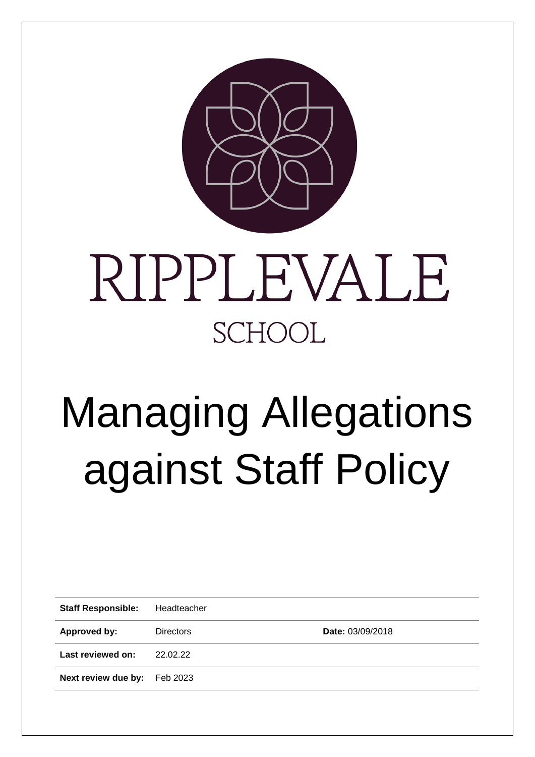

## RIPPLEVALE SCHOOL

# Managing Allegations against Staff Policy

| <b>Staff Responsible:</b> | Headteacher      |                         |  |
|---------------------------|------------------|-------------------------|--|
| Approved by:              | <b>Directors</b> | <b>Date: 03/09/2018</b> |  |
| Last reviewed on:         | 22.02.22         |                         |  |
| Next review due by:       | Feb 2023         |                         |  |
|                           |                  |                         |  |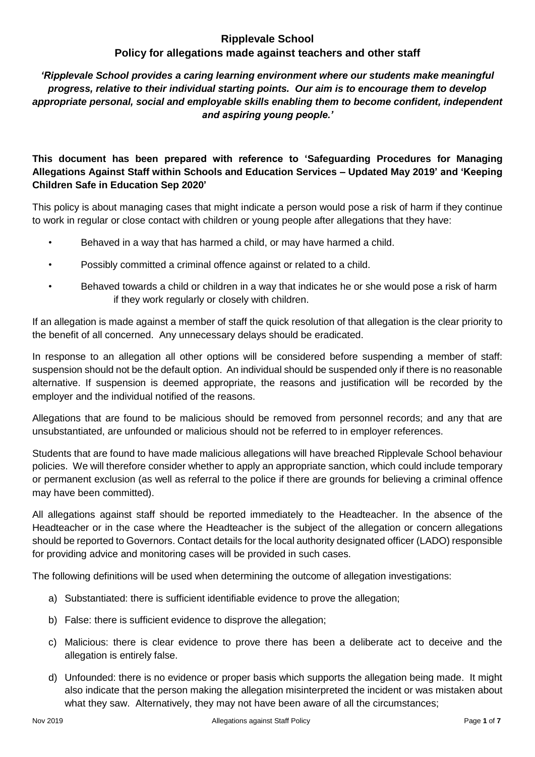## **Ripplevale School**

## **Policy for allegations made against teachers and other staff**

*'Ripplevale School provides a caring learning environment where our students make meaningful progress, relative to their individual starting points. Our aim is to encourage them to develop appropriate personal, social and employable skills enabling them to become confident, independent and aspiring young people.'*

## **This document has been prepared with reference to 'Safeguarding Procedures for Managing Allegations Against Staff within Schools and Education Services – Updated May 2019' and 'Keeping Children Safe in Education Sep 2020'**

This policy is about managing cases that might indicate a person would pose a risk of harm if they continue to work in regular or close contact with children or young people after allegations that they have:

- Behaved in a way that has harmed a child, or may have harmed a child.
- Possibly committed a criminal offence against or related to a child.
- Behaved towards a child or children in a way that indicates he or she would pose a risk of harm if they work regularly or closely with children.

If an allegation is made against a member of staff the quick resolution of that allegation is the clear priority to the benefit of all concerned. Any unnecessary delays should be eradicated.

In response to an allegation all other options will be considered before suspending a member of staff: suspension should not be the default option. An individual should be suspended only if there is no reasonable alternative. If suspension is deemed appropriate, the reasons and justification will be recorded by the employer and the individual notified of the reasons.

Allegations that are found to be malicious should be removed from personnel records; and any that are unsubstantiated, are unfounded or malicious should not be referred to in employer references.

Students that are found to have made malicious allegations will have breached Ripplevale School behaviour policies. We will therefore consider whether to apply an appropriate sanction, which could include temporary or permanent exclusion (as well as referral to the police if there are grounds for believing a criminal offence may have been committed).

All allegations against staff should be reported immediately to the Headteacher. In the absence of the Headteacher or in the case where the Headteacher is the subject of the allegation or concern allegations should be reported to Governors. Contact details for the local authority designated officer (LADO) responsible for providing advice and monitoring cases will be provided in such cases.

The following definitions will be used when determining the outcome of allegation investigations:

- a) Substantiated: there is sufficient identifiable evidence to prove the allegation;
- b) False: there is sufficient evidence to disprove the allegation;
- c) Malicious: there is clear evidence to prove there has been a deliberate act to deceive and the allegation is entirely false.
- d) Unfounded: there is no evidence or proper basis which supports the allegation being made. It might also indicate that the person making the allegation misinterpreted the incident or was mistaken about what they saw. Alternatively, they may not have been aware of all the circumstances;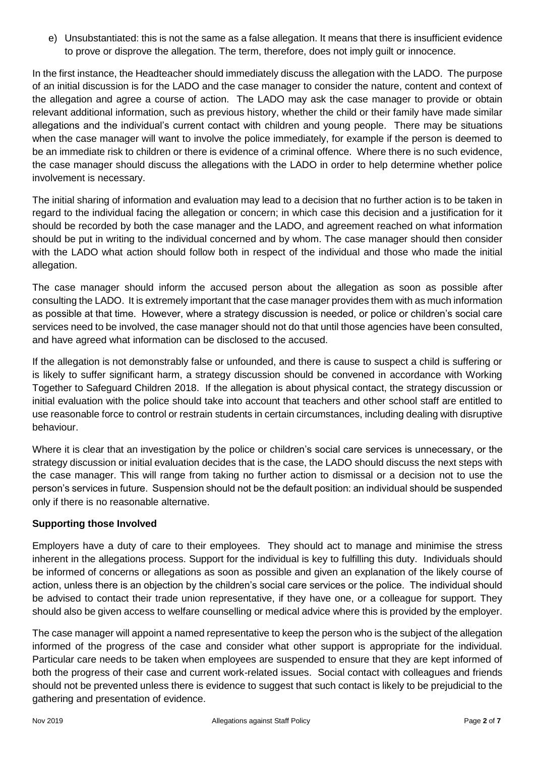e) Unsubstantiated: this is not the same as a false allegation. It means that there is insufficient evidence to prove or disprove the allegation. The term, therefore, does not imply guilt or innocence.

In the first instance, the Headteacher should immediately discuss the allegation with the LADO. The purpose of an initial discussion is for the LADO and the case manager to consider the nature, content and context of the allegation and agree a course of action. The LADO may ask the case manager to provide or obtain relevant additional information, such as previous history, whether the child or their family have made similar allegations and the individual's current contact with children and young people. There may be situations when the case manager will want to involve the police immediately, for example if the person is deemed to be an immediate risk to children or there is evidence of a criminal offence. Where there is no such evidence, the case manager should discuss the allegations with the LADO in order to help determine whether police involvement is necessary.

The initial sharing of information and evaluation may lead to a decision that no further action is to be taken in regard to the individual facing the allegation or concern; in which case this decision and a justification for it should be recorded by both the case manager and the LADO, and agreement reached on what information should be put in writing to the individual concerned and by whom. The case manager should then consider with the LADO what action should follow both in respect of the individual and those who made the initial allegation.

The case manager should inform the accused person about the allegation as soon as possible after consulting the LADO. It is extremely important that the case manager provides them with as much information as possible at that time. However, where a strategy discussion is needed, or police or children's social care services need to be involved, the case manager should not do that until those agencies have been consulted, and have agreed what information can be disclosed to the accused.

If the allegation is not demonstrably false or unfounded, and there is cause to suspect a child is suffering or is likely to suffer significant harm, a strategy discussion should be convened in accordance with Working Together to Safeguard Children 2018. If the allegation is about physical contact, the strategy discussion or initial evaluation with the police should take into account that teachers and other school staff are entitled to use reasonable force to control or restrain students in certain circumstances, including dealing with disruptive behaviour.

Where it is clear that an investigation by the police or children's social care services is unnecessary, or the strategy discussion or initial evaluation decides that is the case, the LADO should discuss the next steps with the case manager. This will range from taking no further action to dismissal or a decision not to use the person's services in future. Suspension should not be the default position: an individual should be suspended only if there is no reasonable alternative.

## **Supporting those Involved**

Employers have a duty of care to their employees. They should act to manage and minimise the stress inherent in the allegations process. Support for the individual is key to fulfilling this duty. Individuals should be informed of concerns or allegations as soon as possible and given an explanation of the likely course of action, unless there is an objection by the children's social care services or the police. The individual should be advised to contact their trade union representative, if they have one, or a colleague for support. They should also be given access to welfare counselling or medical advice where this is provided by the employer.

The case manager will appoint a named representative to keep the person who is the subject of the allegation informed of the progress of the case and consider what other support is appropriate for the individual. Particular care needs to be taken when employees are suspended to ensure that they are kept informed of both the progress of their case and current work-related issues. Social contact with colleagues and friends should not be prevented unless there is evidence to suggest that such contact is likely to be prejudicial to the gathering and presentation of evidence.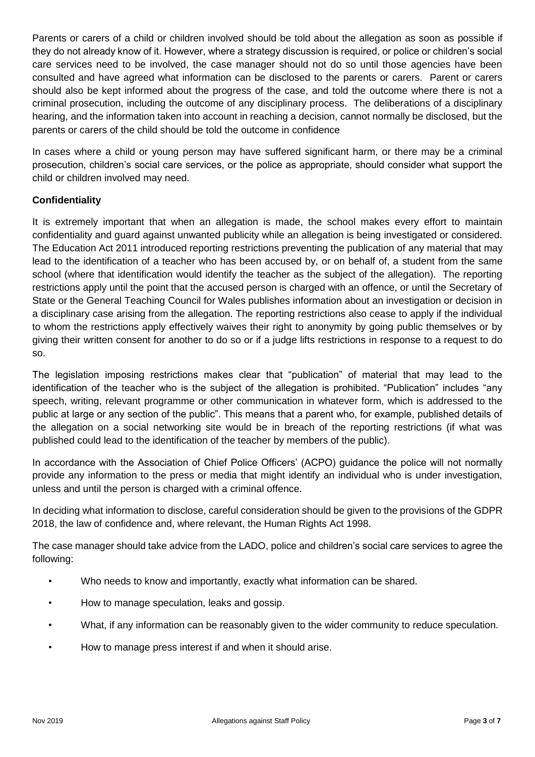Parents or carers of a child or children involved should be told about the allegation as soon as possible if they do not already know of it. However, where a strategy discussion is required, or police or children's social care services need to be involved, the case manager should not do so until those agencies have been consulted and have agreed what information can be disclosed to the parents or carers. Parent or carers should also be kept informed about the progress of the case, and told the outcome where there is not a criminal prosecution, including the outcome of any disciplinary process. The deliberations of a disciplinary hearing, and the information taken into account in reaching a decision, cannot normally be disclosed, but the parents or carers of the child should be told the outcome in confidence

In cases where a child or young person may have suffered significant harm, or there may be a criminal prosecution, children's social care services, or the police as appropriate, should consider what support the child or children involved may need.

#### **Confidentiality**

It is extremely important that when an allegation is made, the school makes every effort to maintain confidentiality and guard against unwanted publicity while an allegation is being investigated or considered. The Education Act 2011 introduced reporting restrictions preventing the publication of any material that may lead to the identification of a teacher who has been accused by, or on behalf of, a student from the same school (where that identification would identify the teacher as the subject of the allegation). The reporting restrictions apply until the point that the accused person is charged with an offence, or until the Secretary of State or the General Teaching Council for Wales publishes information about an investigation or decision in a disciplinary case arising from the allegation. The reporting restrictions also cease to apply if the individual to whom the restrictions apply effectively waives their right to anonymity by going public themselves or by giving their written consent for another to do so or if a judge lifts restrictions in response to a request to do so.

The legislation imposing restrictions makes clear that "publication" of material that may lead to the identification of the teacher who is the subject of the allegation is prohibited. "Publication" includes "any speech, writing, relevant programme or other communication in whatever form, which is addressed to the public at large or any section of the public". This means that a parent who, for example, published details of the allegation on a social networking site would be in breach of the reporting restrictions (if what was published could lead to the identification of the teacher by members of the public).

In accordance with the Association of Chief Police Officers' (ACPO) guidance the police will not normally provide any information to the press or media that might identify an individual who is under investigation, unless and until the person is charged with a criminal offence.

In deciding what information to disclose, careful consideration should be given to the provisions of the GDPR 2018, the law of confidence and, where relevant, the Human Rights Act 1998.

The case manager should take advice from the LADO, police and children's social care services to agree the following:

- Who needs to know and importantly, exactly what information can be shared.
- How to manage speculation, leaks and gossip.
- What, if any information can be reasonably given to the wider community to reduce speculation.
- How to manage press interest if and when it should arise.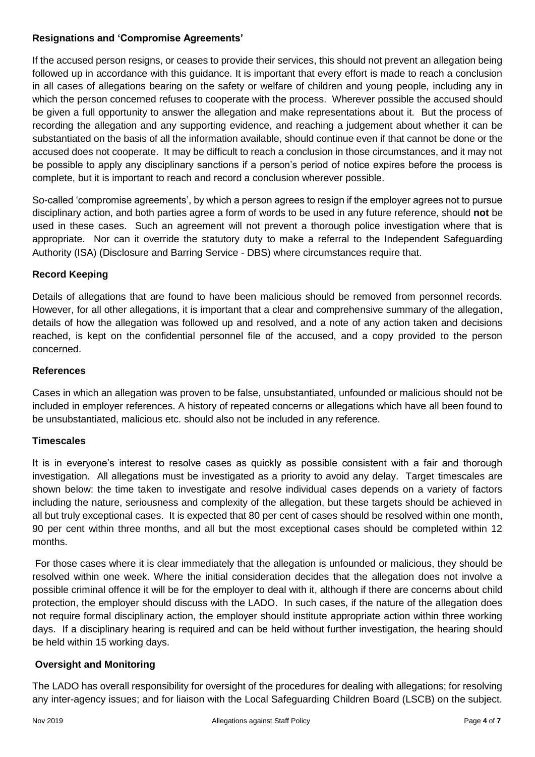#### **Resignations and 'Compromise Agreements'**

If the accused person resigns, or ceases to provide their services, this should not prevent an allegation being followed up in accordance with this guidance. It is important that every effort is made to reach a conclusion in all cases of allegations bearing on the safety or welfare of children and young people, including any in which the person concerned refuses to cooperate with the process. Wherever possible the accused should be given a full opportunity to answer the allegation and make representations about it. But the process of recording the allegation and any supporting evidence, and reaching a judgement about whether it can be substantiated on the basis of all the information available, should continue even if that cannot be done or the accused does not cooperate. It may be difficult to reach a conclusion in those circumstances, and it may not be possible to apply any disciplinary sanctions if a person's period of notice expires before the process is complete, but it is important to reach and record a conclusion wherever possible.

So-called 'compromise agreements', by which a person agrees to resign if the employer agrees not to pursue disciplinary action, and both parties agree a form of words to be used in any future reference, should **not** be used in these cases. Such an agreement will not prevent a thorough police investigation where that is appropriate. Nor can it override the statutory duty to make a referral to the Independent Safeguarding Authority (ISA) (Disclosure and Barring Service - DBS) where circumstances require that.

## **Record Keeping**

Details of allegations that are found to have been malicious should be removed from personnel records. However, for all other allegations, it is important that a clear and comprehensive summary of the allegation, details of how the allegation was followed up and resolved, and a note of any action taken and decisions reached, is kept on the confidential personnel file of the accused, and a copy provided to the person concerned.

#### **References**

Cases in which an allegation was proven to be false, unsubstantiated, unfounded or malicious should not be included in employer references. A history of repeated concerns or allegations which have all been found to be unsubstantiated, malicious etc. should also not be included in any reference.

#### **Timescales**

It is in everyone's interest to resolve cases as quickly as possible consistent with a fair and thorough investigation. All allegations must be investigated as a priority to avoid any delay. Target timescales are shown below: the time taken to investigate and resolve individual cases depends on a variety of factors including the nature, seriousness and complexity of the allegation, but these targets should be achieved in all but truly exceptional cases. It is expected that 80 per cent of cases should be resolved within one month, 90 per cent within three months, and all but the most exceptional cases should be completed within 12 months.

For those cases where it is clear immediately that the allegation is unfounded or malicious, they should be resolved within one week. Where the initial consideration decides that the allegation does not involve a possible criminal offence it will be for the employer to deal with it, although if there are concerns about child protection, the employer should discuss with the LADO. In such cases, if the nature of the allegation does not require formal disciplinary action, the employer should institute appropriate action within three working days. If a disciplinary hearing is required and can be held without further investigation, the hearing should be held within 15 working days.

#### **Oversight and Monitoring**

The LADO has overall responsibility for oversight of the procedures for dealing with allegations; for resolving any inter-agency issues; and for liaison with the Local Safeguarding Children Board (LSCB) on the subject.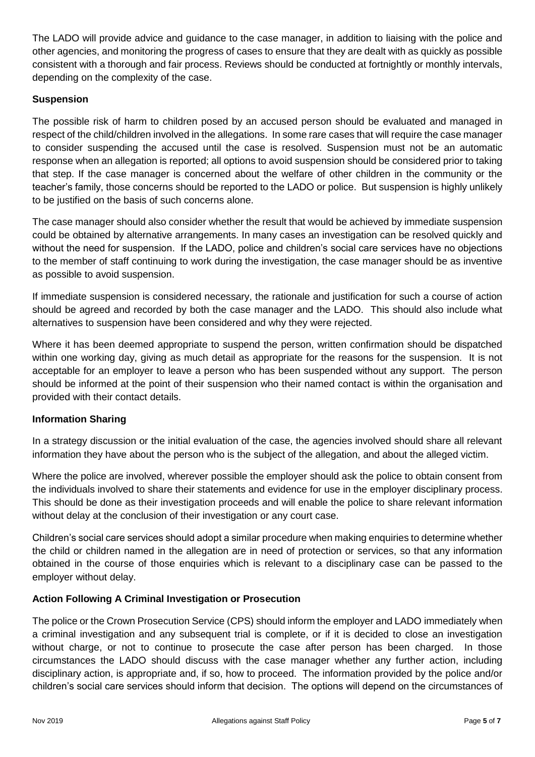The LADO will provide advice and guidance to the case manager, in addition to liaising with the police and other agencies, and monitoring the progress of cases to ensure that they are dealt with as quickly as possible consistent with a thorough and fair process. Reviews should be conducted at fortnightly or monthly intervals, depending on the complexity of the case.

## **Suspension**

The possible risk of harm to children posed by an accused person should be evaluated and managed in respect of the child/children involved in the allegations. In some rare cases that will require the case manager to consider suspending the accused until the case is resolved. Suspension must not be an automatic response when an allegation is reported; all options to avoid suspension should be considered prior to taking that step. If the case manager is concerned about the welfare of other children in the community or the teacher's family, those concerns should be reported to the LADO or police. But suspension is highly unlikely to be justified on the basis of such concerns alone.

The case manager should also consider whether the result that would be achieved by immediate suspension could be obtained by alternative arrangements. In many cases an investigation can be resolved quickly and without the need for suspension. If the LADO, police and children's social care services have no objections to the member of staff continuing to work during the investigation, the case manager should be as inventive as possible to avoid suspension.

If immediate suspension is considered necessary, the rationale and justification for such a course of action should be agreed and recorded by both the case manager and the LADO. This should also include what alternatives to suspension have been considered and why they were rejected.

Where it has been deemed appropriate to suspend the person, written confirmation should be dispatched within one working day, giving as much detail as appropriate for the reasons for the suspension. It is not acceptable for an employer to leave a person who has been suspended without any support. The person should be informed at the point of their suspension who their named contact is within the organisation and provided with their contact details.

## **Information Sharing**

In a strategy discussion or the initial evaluation of the case, the agencies involved should share all relevant information they have about the person who is the subject of the allegation, and about the alleged victim.

Where the police are involved, wherever possible the employer should ask the police to obtain consent from the individuals involved to share their statements and evidence for use in the employer disciplinary process. This should be done as their investigation proceeds and will enable the police to share relevant information without delay at the conclusion of their investigation or any court case.

Children's social care services should adopt a similar procedure when making enquiries to determine whether the child or children named in the allegation are in need of protection or services, so that any information obtained in the course of those enquiries which is relevant to a disciplinary case can be passed to the employer without delay.

## **Action Following A Criminal Investigation or Prosecution**

The police or the Crown Prosecution Service (CPS) should inform the employer and LADO immediately when a criminal investigation and any subsequent trial is complete, or if it is decided to close an investigation without charge, or not to continue to prosecute the case after person has been charged. In those circumstances the LADO should discuss with the case manager whether any further action, including disciplinary action, is appropriate and, if so, how to proceed. The information provided by the police and/or children's social care services should inform that decision. The options will depend on the circumstances of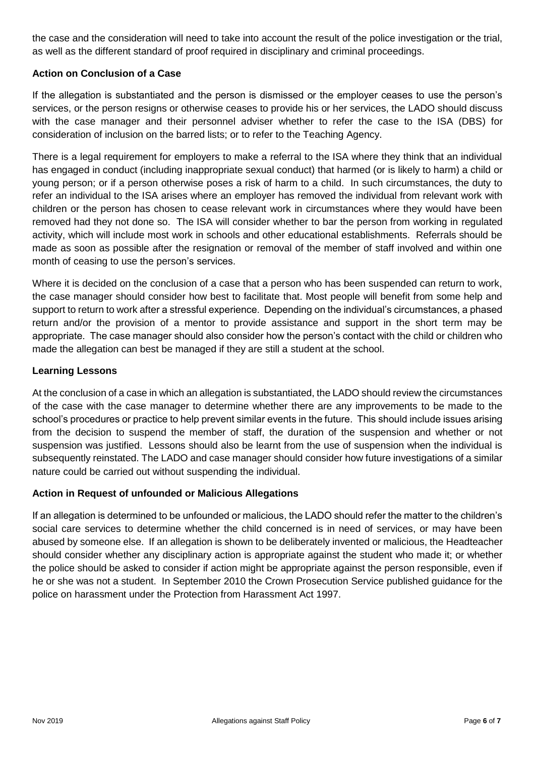the case and the consideration will need to take into account the result of the police investigation or the trial, as well as the different standard of proof required in disciplinary and criminal proceedings.

## **Action on Conclusion of a Case**

If the allegation is substantiated and the person is dismissed or the employer ceases to use the person's services, or the person resigns or otherwise ceases to provide his or her services, the LADO should discuss with the case manager and their personnel adviser whether to refer the case to the ISA (DBS) for consideration of inclusion on the barred lists; or to refer to the Teaching Agency.

There is a legal requirement for employers to make a referral to the ISA where they think that an individual has engaged in conduct (including inappropriate sexual conduct) that harmed (or is likely to harm) a child or young person; or if a person otherwise poses a risk of harm to a child. In such circumstances, the duty to refer an individual to the ISA arises where an employer has removed the individual from relevant work with children or the person has chosen to cease relevant work in circumstances where they would have been removed had they not done so. The ISA will consider whether to bar the person from working in regulated activity, which will include most work in schools and other educational establishments. Referrals should be made as soon as possible after the resignation or removal of the member of staff involved and within one month of ceasing to use the person's services.

Where it is decided on the conclusion of a case that a person who has been suspended can return to work, the case manager should consider how best to facilitate that. Most people will benefit from some help and support to return to work after a stressful experience. Depending on the individual's circumstances, a phased return and/or the provision of a mentor to provide assistance and support in the short term may be appropriate. The case manager should also consider how the person's contact with the child or children who made the allegation can best be managed if they are still a student at the school.

## **Learning Lessons**

At the conclusion of a case in which an allegation is substantiated, the LADO should review the circumstances of the case with the case manager to determine whether there are any improvements to be made to the school's procedures or practice to help prevent similar events in the future. This should include issues arising from the decision to suspend the member of staff, the duration of the suspension and whether or not suspension was justified. Lessons should also be learnt from the use of suspension when the individual is subsequently reinstated. The LADO and case manager should consider how future investigations of a similar nature could be carried out without suspending the individual.

#### **Action in Request of unfounded or Malicious Allegations**

If an allegation is determined to be unfounded or malicious, the LADO should refer the matter to the children's social care services to determine whether the child concerned is in need of services, or may have been abused by someone else. If an allegation is shown to be deliberately invented or malicious, the Headteacher should consider whether any disciplinary action is appropriate against the student who made it; or whether the police should be asked to consider if action might be appropriate against the person responsible, even if he or she was not a student. In September 2010 the Crown Prosecution Service published guidance for the police on harassment under the Protection from Harassment Act 1997.